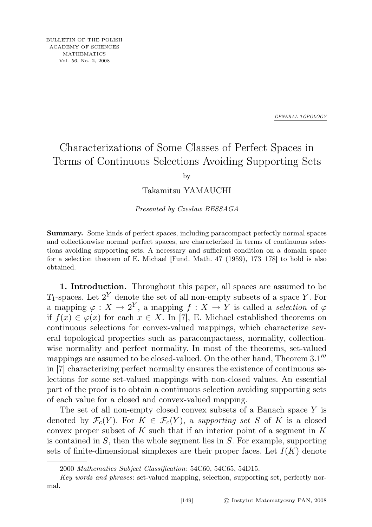*GENERAL TOPOLOGY*

## Characterizations of Some Classes of Perfect Spaces in Terms of Continuous Selections Avoiding Supporting Sets

by

Takamitsu YAMAUCHI

Presented by Czesław BESSAGA

Summary. Some kinds of perfect spaces, including paracompact perfectly normal spaces and collectionwise normal perfect spaces, are characterized in terms of continuous selections avoiding supporting sets. A necessary and sufficient condition on a domain space for a selection theorem of E. Michael [Fund. Math. 47 (1959), 173–178] to hold is also obtained.

1. Introduction. Throughout this paper, all spaces are assumed to be  $T_1$ -spaces. Let  $2^Y$  denote the set of all non-empty subsets of a space Y. For a mapping  $\varphi: X \to 2^Y$ , a mapping  $f: X \to Y$  is called a selection of  $\varphi$ if  $f(x) \in \varphi(x)$  for each  $x \in X$ . In [7], E. Michael established theorems on continuous selections for convex-valued mappings, which characterize several topological properties such as paracompactness, normality, collectionwise normality and perfect normality. In most of the theorems, set-valued mappings are assumed to be closed-valued. On the other hand, Theorem 3.1<sup>th</sup> in [7] characterizing perfect normality ensures the existence of continuous selections for some set-valued mappings with non-closed values. An essential part of the proof is to obtain a continuous selection avoiding supporting sets of each value for a closed and convex-valued mapping.

The set of all non-empty closed convex subsets of a Banach space Y is denoted by  $\mathcal{F}_c(Y)$ . For  $K \in \mathcal{F}_c(Y)$ , a supporting set S of K is a closed convex proper subset of K such that if an interior point of a segment in K is contained in  $S$ , then the whole segment lies in  $S$ . For example, supporting sets of finite-dimensional simplexes are their proper faces. Let  $I(K)$  denote

<sup>2000</sup> Mathematics Subject Classification: 54C60, 54C65, 54D15.

Key words and phrases: set-valued mapping, selection, supporting set, perfectly normal.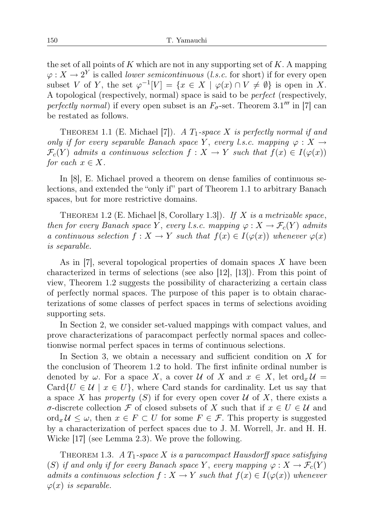the set of all points of K which are not in any supporting set of  $K$ . A mapping  $\varphi: X \to 2^Y$  is called *lower semicontinuous* (*l.s.c.* for short) if for every open subset V of Y, the set  $\varphi^{-1}[V] = \{x \in X \mid \varphi(x) \cap V \neq \emptyset\}$  is open in X. A topological (respectively, normal) space is said to be perfect (respectively, perfectly normal) if every open subset is an  $F_{\sigma}$ -set. Theorem 3.1" in [7] can be restated as follows.

THEOREM 1.1 (E. Michael [7]). A  $T_1$ -space X is perfectly normal if and only if for every separable Banach space Y, every l.s.c. mapping  $\varphi: X \to$  $\mathcal{F}_c(Y)$  admits a continuous selection  $f: X \to Y$  such that  $f(x) \in I(\varphi(x))$ for each  $x \in X$ .

In [8], E. Michael proved a theorem on dense families of continuous selections, and extended the "only if" part of Theorem 1.1 to arbitrary Banach spaces, but for more restrictive domains.

THEOREM 1.2 (E. Michael [8, Corollary 1.3]). If  $X$  is a metrizable space, then for every Banach space Y, every l.s.c. mapping  $\varphi: X \to \mathcal{F}_c(Y)$  admits a continuous selection  $f: X \to Y$  such that  $f(x) \in I(\varphi(x))$  whenever  $\varphi(x)$ is separable.

As in  $|7|$ , several topological properties of domain spaces X have been characterized in terms of selections (see also [12], [13]). From this point of view, Theorem 1.2 suggests the possibility of characterizing a certain class of perfectly normal spaces. The purpose of this paper is to obtain characterizations of some classes of perfect spaces in terms of selections avoiding supporting sets.

In Section 2, we consider set-valued mappings with compact values, and prove characterizations of paracompact perfectly normal spaces and collectionwise normal perfect spaces in terms of continuous selections.

In Section 3, we obtain a necessary and sufficient condition on  $X$  for the conclusion of Theorem 1.2 to hold. The first infinite ordinal number is denoted by  $\omega$ . For a space X, a cover U of X and  $x \in X$ , let ord $_x U =$ Card $\{U \in \mathcal{U} \mid x \in U\}$ , where Card stands for cardinality. Let us say that a space X has property  $(S)$  if for every open cover U of X, there exists a σ-discrete collection F of closed subsets of X such that if x ∈ U ∈ U and ord<sub>x</sub>  $\mathcal{U} \leq \omega$ , then  $x \in F \subset U$  for some  $F \in \mathcal{F}$ . This property is suggested by a characterization of perfect spaces due to J. M. Worrell, Jr. and H. H. Wicke [17] (see Lemma 2.3). We prove the following.

THEOREM 1.3. A  $T_1$ -space X is a paracompact Hausdorff space satisfying (S) if and only if for every Banach space Y, every mapping  $\varphi: X \to \mathcal{F}_c(Y)$ admits a continuous selection  $f: X \to Y$  such that  $f(x) \in I(\varphi(x))$  whenever  $\varphi(x)$  is separable.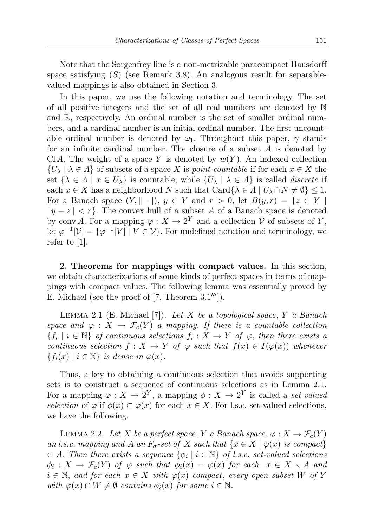Note that the Sorgenfrey line is a non-metrizable paracompact Hausdorff space satisfying  $(S)$  (see Remark 3.8). An analogous result for separablevalued mappings is also obtained in Section 3.

In this paper, we use the following notation and terminology. The set of all positive integers and the set of all real numbers are denoted by N and R, respectively. An ordinal number is the set of smaller ordinal numbers, and a cardinal number is an initial ordinal number. The first uncountable ordinal number is denoted by  $\omega_1$ . Throughout this paper,  $\gamma$  stands for an infinite cardinal number. The closure of a subset  $A$  is denoted by Cl A. The weight of a space Y is denoted by  $w(Y)$ . An indexed collection  $\{U_\lambda \mid \lambda \in \Lambda\}$  of subsets of a space X is *point-countable* if for each  $x \in X$  the set  $\{\lambda \in \Lambda \mid x \in U_{\lambda}\}\$ is countable, while  $\{U_{\lambda} \mid \lambda \in \Lambda\}$  is called *discrete* if each  $x \in X$  has a neighborhood N such that  $\text{Card}\{\lambda \in \Lambda \mid U_{\lambda} \cap N \neq \emptyset\} \leq 1$ . For a Banach space  $(Y, \|\cdot\|), y \in Y$  and  $r > 0$ , let  $B(y, r) = \{z \in Y \mid$  $||y - z|| < r$ . The convex hull of a subset A of a Banach space is denoted by conv A. For a mapping  $\varphi: X \to 2^Y$  and a collection  $\mathcal V$  of subsets of Y, let  $\varphi^{-1}[\mathcal{V}] = {\varphi^{-1}[V] \mid V \in \mathcal{V}}$ . For undefined notation and terminology, we refer to  $|1|$ .

2. Theorems for mappings with compact values. In this section, we obtain characterizations of some kinds of perfect spaces in terms of mappings with compact values. The following lemma was essentially proved by E. Michael (see the proof of  $[7,$  Theorem  $3.1'''$ ).

LEMMA 2.1 (E. Michael [7]). Let X be a topological space, Y a Banach space and  $\varphi : X \to \mathcal{F}_c(Y)$  a mapping. If there is a countable collection  ${f_i \mid i \in \mathbb{N}}$  of continuous selections  $f_i: X \to Y$  of  $\varphi$ , then there exists a continuous selection  $f: X \to Y$  of  $\varphi$  such that  $f(x) \in I(\varphi(x))$  whenever  ${f_i(x) | i \in \mathbb{N}}$  is dense in  $\varphi(x)$ .

Thus, a key to obtaining a continuous selection that avoids supporting sets is to construct a sequence of continuous selections as in Lemma 2.1. For a mapping  $\varphi: X \to 2^Y$ , a mapping  $\phi: X \to 2^Y$  is called a set-valued selection of  $\varphi$  if  $\phi(x) \subset \varphi(x)$  for each  $x \in X$ . For l.s.c. set-valued selections, we have the following.

LEMMA 2.2. Let X be a perfect space, Y a Banach space,  $\varphi: X \to \mathcal{F}_c(Y)$ an l.s.c. mapping and A an  $F_{\sigma}$ -set of X such that  $\{x \in X \mid \varphi(x)$  is compact  $\subset A$ . Then there exists a sequence  $\{\phi_i \mid i \in \mathbb{N}\}\$  of l.s.c. set-valued selections  $\phi_i: X \to \mathcal{F}_c(Y)$  of  $\varphi$  such that  $\phi_i(x) = \varphi(x)$  for each  $x \in X \setminus A$  and  $i \in \mathbb{N}$ , and for each  $x \in X$  with  $\varphi(x)$  compact, every open subset W of Y with  $\varphi(x) \cap W \neq \emptyset$  contains  $\phi_i(x)$  for some  $i \in \mathbb{N}$ .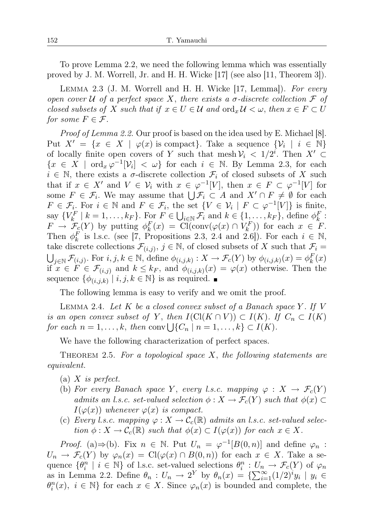To prove Lemma 2.2, we need the following lemma which was essentially proved by J. M. Worrell, Jr. and H. H. Wicke [17] (see also [11, Theorem 3]).

Lemma 2.3 (J. M. Worrell and H. H. Wicke [17, Lemma]). For every open cover U of a perfect space X, there exists a  $\sigma$ -discrete collection F of closed subsets of X such that if  $x \in U \in \mathcal{U}$  and  $\text{ord}_x \mathcal{U} < \omega$ , then  $x \in F \subset U$ for some  $F \in \mathcal{F}$ .

Proof of Lemma 2.2. Our proof is based on the idea used by E. Michael [8]. Put  $X' = \{x \in X \mid \varphi(x) \text{ is compact}\}\)$ . Take a sequence  $\{\mathcal{V}_i \mid i \in \mathbb{N}\}\$ of locally finite open covers of Y such that mesh  $\mathcal{V}_i < 1/2^i$ . Then  $X' \subset$  ${x \in X \mid \text{ord}_x \varphi^{-1}[V_i] < \omega}$  for each  $i \in \mathbb{N}$ . By Lemma 2.3, for each  $i \in \mathbb{N}$ , there exists a  $\sigma$ -discrete collection  $\mathcal{F}_i$  of closed subsets of X such that if  $x \in X'$  and  $V \in \mathcal{V}_i$  with  $x \in \varphi^{-1}[V]$ , then  $x \in F \subset \varphi^{-1}[V]$  for some  $F \in \mathcal{F}_i$ . We may assume that  $\bigcup \mathcal{F}_i \subset A$  and  $X' \cap F \neq \emptyset$  for each  $F \in \mathcal{F}_i$ . For  $i \in \mathbb{N}$  and  $F \in \mathcal{F}_i$ , the set  $\{V \in \mathcal{V}_i \mid F \subset \varphi^{-1}[V]\}$  is finite, say  $\{V_k^F \mid k = 1, \ldots, k_F\}$ . For  $F \in \bigcup_{i \in \mathbb{N}} \mathcal{F}_i$  and  $k \in \{1, \ldots, k_F\}$ , define  $\phi_k^F$ :  $F \to \mathcal{F}_{\mathcal{C}}(Y)$  by putting  $\phi_k^F(x) = \text{Cl}(\text{conv}(\varphi(x) \cap V_k^F))$  for each  $x \in F$ . Then  $\phi_k^F$  is l.s.c. (see [7, Propositions 2.3, 2.4 and 2.6]). For each  $i \in \mathbb{N}$ , take discrete collections  $\mathcal{F}_{(i,j)}$ ,  $j \in \mathbb{N}$ , of closed subsets of X such that  $\mathcal{F}_i =$  $\bigcup_{j\in\mathbb{N}}\mathcal{F}_{(i,j)}$ . For  $i, j, k \in \mathbb{N}$ , define  $\phi_{(i,j,k)} : X \to \mathcal{F}_c(Y)$  by  $\phi_{(i,j,k)}(x) = \phi_k^F(x)$ if  $x \in F \in \mathcal{F}_{(i,j)}$  and  $k \leq k_F$ , and  $\phi_{(i,j,k)}(x) = \varphi(x)$  otherwise. Then the sequence  $\{\phi_{(i,j,k)} | i,j,k \in \mathbb{N}\}\$ is as required.

The following lemma is easy to verify and we omit the proof.

LEMMA 2.4. Let  $K$  be a closed convex subset of a Banach space  $Y$ . If  $V$ is an open convex subset of Y, then  $I(Cl(K \cap V)) \subset I(K)$ . If  $C_n \subset I(K)$ for each  $n = 1, \ldots, k$ , then conv $\bigcup \{C_n \mid n = 1, \ldots, k\} \subset I(K)$ .

We have the following characterization of perfect spaces.

THEOREM 2.5. For a topological space  $X$ , the following statements are equivalent.

- (a)  $X$  is perfect.
- (b) For every Banach space Y, every l.s.c. mapping  $\varphi: X \to \mathcal{F}_c(Y)$ admits an l.s.c. set-valued selection  $\phi: X \to \mathcal{F}_c(Y)$  such that  $\phi(x) \subset$  $I(\varphi(x))$  whenever  $\varphi(x)$  is compact.
- (c) Every l.s.c. mapping  $\varphi: X \to \mathcal{C}_c(\mathbb{R})$  admits an l.s.c. set-valued selection  $\phi: X \to \mathcal{C}_c(\mathbb{R})$  such that  $\phi(x) \subset I(\varphi(x))$  for each  $x \in X$ .

*Proof.* (a)⇒(b). Fix  $n \in \mathbb{N}$ . Put  $U_n = \varphi^{-1}[B(0,n)]$  and define  $\varphi_n$ :  $U_n \to \mathcal{F}_c(Y)$  by  $\varphi_n(x) = \text{Cl}(\varphi(x) \cap B(0,n))$  for each  $x \in X$ . Take a sequence  $\{\theta_i^n \mid i \in \mathbb{N}\}\$  of l.s.c. set-valued selections  $\theta_i^n : U_n \to \mathcal{F}_c(Y)$  of  $\varphi_n$ as in Lemma 2.2. Define  $\theta_n: U_n \to 2^Y$  by  $\theta_n(x) = {\sum_{i=1}^{\infty} (1/2)^i y_i \mid y_i \in \Theta_n}$  $\theta_i^n(x)$ ,  $i \in \mathbb{N}$  for each  $x \in X$ . Since  $\varphi_n(x)$  is bounded and complete, the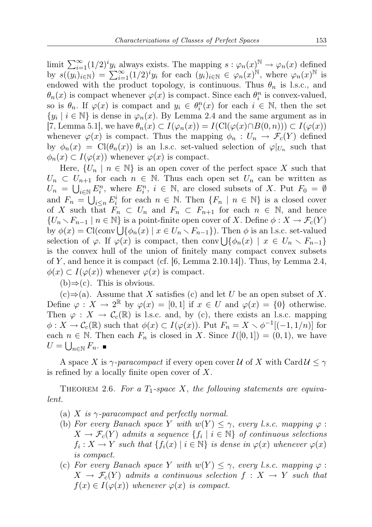limit  $\sum_{i=1}^{\infty} (1/2)^i y_i$  always exists. The mapping  $s : \varphi_n(x) \to \varphi_n(x)$  defined by  $s((y_i)_{i\in\mathbb{N}}) = \sum_{i=1}^{\infty} (1/2)^i y_i$  for each  $(y_i)_{i\in\mathbb{N}} \in \varphi_n(x)^{\mathbb{N}}$ , where  $\varphi_n(x)^{\mathbb{N}}$  is endowed with the product topology, is continuous. Thus  $\theta_n$  is l.s.c., and  $\theta_n(x)$  is compact whenever  $\varphi(x)$  is compact. Since each  $\theta_i^n$  is convex-valued, so is  $\theta_n$ . If  $\varphi(x)$  is compact and  $y_i \in \theta_i^n(x)$  for each  $i \in \mathbb{N}$ , then the set  $\{y_i \mid i \in \mathbb{N}\}\$ is dense in  $\varphi_n(x)$ . By Lemma 2.4 and the same argument as in [7, Lemma 5.1], we have  $\theta_n(x) \subset I(\varphi_n(x)) = I(\mathrm{Cl}(\varphi(x) \cap B(0,n))) \subset I(\varphi(x))$ whenever  $\varphi(x)$  is compact. Thus the mapping  $\phi_n: U_n \to \mathcal{F}_c(Y)$  defined by  $\phi_n(x) = \text{Cl}(\theta_n(x))$  is an l.s.c. set-valued selection of  $\varphi|_{U_n}$  such that  $\phi_n(x) \subset I(\varphi(x))$  whenever  $\varphi(x)$  is compact.

Here,  $\{U_n \mid n \in \mathbb{N}\}\$ is an open cover of the perfect space X such that  $U_n \subset U_{n+1}$  for each  $n \in \mathbb{N}$ . Thus each open set  $U_n$  can be written as  $U_n = \bigcup_{i \in \mathbb{N}} E_i^n$ , where  $E_i^n$ ,  $i \in \mathbb{N}$ , are closed subsets of X. Put  $F_0 = \emptyset$ and  $F_n = \bigcup_{i \leq n} E_i^i$  for each  $n \in \mathbb{N}$ . Then  $\{F_n \mid n \in \mathbb{N}\}\$  is a closed cover of X such that  $F_n \subset U_n$  and  $F_n \subset F_{n+1}$  for each  $n \in \mathbb{N}$ , and hence  $\{U_n \setminus F_{n-1} \mid n \in \mathbb{N}\}\$ is a point-finite open cover of X. Define  $\phi: X \to \mathcal{F}_c(Y)$ by  $\phi(x) = \text{Cl}(\text{conv}\bigcup \{\phi_n(x) \mid x \in U_n \setminus F_{n-1}\})$ . Then  $\phi$  is an l.s.c. set-valued selection of  $\varphi$ . If  $\varphi(x)$  is compact, then conv $\bigcup \{\phi_n(x) \mid x \in U_n \setminus F_{n-1}\}\$ is the convex hull of the union of finitely many compact convex subsets of Y, and hence it is compact (cf.  $[6, \text{Lemma } 2.10.14]$ ). Thus, by Lemma 2.4,  $\phi(x) \subset I(\varphi(x))$  whenever  $\varphi(x)$  is compact.

 $(b) \Rightarrow (c)$ . This is obvious.

 $(c) \Rightarrow (a)$ . Assume that X satisfies (c) and let U be an open subset of X. Define  $\varphi: X \to 2^{\mathbb{R}}$  by  $\varphi(x) = [0, 1]$  if  $x \in U$  and  $\varphi(x) = \{0\}$  otherwise. Then  $\varphi: X \to \mathcal{C}_c(\mathbb{R})$  is l.s.c. and, by (c), there exists an l.s.c. mapping  $\phi: X \to \mathcal{C}_{c}(\mathbb{R})$  such that  $\phi(x) \subset I(\varphi(x))$ . Put  $F_n = X \setminus \phi^{-1}[(-1,1/n)]$  for each  $n \in \mathbb{N}$ . Then each  $F_n$  is closed in X. Since  $I([0,1]) = (0,1)$ , we have  $U=\bigcup_{n\in\mathbb{N}} F_n$ .

A space X is  $\gamma$ -paracompact if every open cover U of X with Card  $\mathcal{U} \leq \gamma$ is refined by a locally finite open cover of  $X$ .

THEOREM 2.6. For a  $T_1$ -space X, the following statements are equivalent.

- (a) X is  $\gamma$ -paracompact and perfectly normal.
- (b) For every Banach space Y with  $w(Y) \leq \gamma$ , every l.s.c. mapping  $\varphi$ :  $X \to \mathcal{F}_c(Y)$  admits a sequence  $\{f_i \mid i \in \mathbb{N}\}$  of continuous selections  $f_i: X \to Y$  such that  $\{f_i(x) \mid i \in \mathbb{N}\}\$ is dense in  $\varphi(x)$  whenever  $\varphi(x)$ is compact.
- (c) For every Banach space Y with  $w(Y) \leq \gamma$ , every l.s.c. mapping  $\varphi$ :  $X \to \mathcal{F}_c(Y)$  admits a continuous selection  $f : X \to Y$  such that  $f(x) \in I(\varphi(x))$  whenever  $\varphi(x)$  is compact.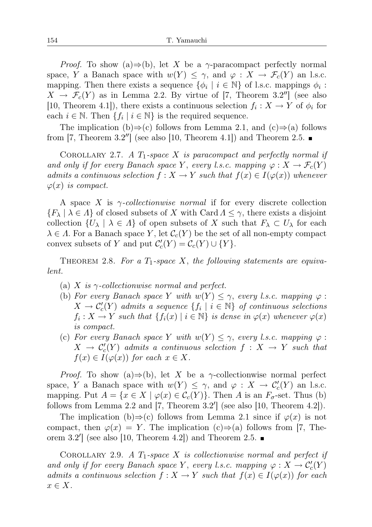*Proof.* To show (a) $\Rightarrow$ (b), let X be a  $\gamma$ -paracompact perfectly normal space, Y a Banach space with  $w(Y) \leq \gamma$ , and  $\varphi : X \to \mathcal{F}_c(Y)$  an l.s.c. mapping. Then there exists a sequence  $\{\phi_i \mid i \in \mathbb{N}\}\$  of l.s.c. mappings  $\phi_i$ :  $X \to \mathcal{F}_c(Y)$  as in Lemma 2.2. By virtue of [7, Theorem 3.2''] (see also [10, Theorem 4.1]), there exists a continuous selection  $f_i: X \to Y$  of  $\phi_i$  for each  $i \in \mathbb{N}$ . Then  $\{f_i \mid i \in \mathbb{N}\}$  is the required sequence.

The implication (b)⇒(c) follows from Lemma 2.1, and (c)⇒(a) follows from  $[7,$  Theorem  $3.2"$ ] (see also  $[10,$  Theorem  $4.1]$ ) and Theorem  $2.5$ .

COROLLARY 2.7. A  $T_1$ -space X is paracompact and perfectly normal if and only if for every Banach space Y, every l.s.c. mapping  $\varphi: X \to \mathcal{F}_c(Y)$ admits a continuous selection  $f: X \to Y$  such that  $f(x) \in I(\varphi(x))$  whenever  $\varphi(x)$  is compact.

A space X is  $\gamma$ -collectionwise normal if for every discrete collection  ${F_{\lambda} | \lambda \in \Lambda}$  of closed subsets of X with Card  $\Lambda \leq \gamma$ , there exists a disjoint collection  $\{U_\lambda \mid \lambda \in \Lambda\}$  of open subsets of X such that  $F_\lambda \subset U_\lambda$  for each  $\lambda \in \Lambda$ . For a Banach space Y, let  $\mathcal{C}_c(Y)$  be the set of all non-empty compact convex subsets of Y and put  $C'_{c}(Y) = C_{c}(Y) \cup \{Y\}.$ 

THEOREM 2.8. For a  $T_1$ -space X, the following statements are equivalent.

- (a) X is  $\gamma$ -collectionwise normal and perfect.
- (b) For every Banach space Y with  $w(Y) \leq \gamma$ , every l.s.c. mapping  $\varphi$ :  $X \to \mathcal{C}'_c(Y)$  admits a sequence  $\{f_i \mid i \in \mathbb{N}\}$  of continuous selections  $f_i: X \to Y$  such that  $\{f_i(x) \mid i \in \mathbb{N}\}\$ is dense in  $\varphi(x)$  whenever  $\varphi(x)$ is compact.
- (c) For every Banach space Y with  $w(Y) \leq \gamma$ , every l.s.c. mapping  $\varphi$ :  $X \to C'_c(Y)$  admits a continuous selection  $f: X \to Y$  such that  $f(x) \in I(\varphi(x))$  for each  $x \in X$ .

*Proof.* To show (a) $\Rightarrow$ (b), let X be a  $\gamma$ -collectionwise normal perfect space, Y a Banach space with  $w(Y) \leq \gamma$ , and  $\varphi : X \to C'_c(Y)$  an l.s.c. mapping. Put  $A = \{x \in X \mid \varphi(x) \in C_c(Y)\}\)$ . Then A is an  $F_{\sigma}$ -set. Thus (b) follows from Lemma 2.2 and  $[7,$  Theorem 3.2'] (see also  $[10,$  Theorem 4.2]).

The implication (b) $\Rightarrow$ (c) follows from Lemma 2.1 since if  $\varphi(x)$  is not compact, then  $\varphi(x) = Y$ . The implication (c)⇒(a) follows from [7, Theorem  $3.2'$  (see also [10, Theorem 4.2]) and Theorem 2.5.

COROLLARY 2.9. A  $T_1$ -space X is collectionwise normal and perfect if and only if for every Banach space Y, every l.s.c. mapping  $\varphi: X \to C_c(Y)$ admits a continuous selection  $f: X \to Y$  such that  $f(x) \in I(\varphi(x))$  for each  $x \in X$ .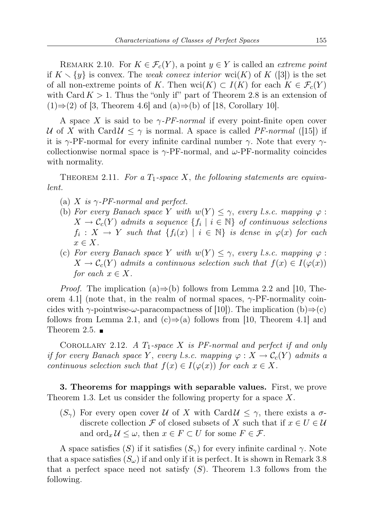REMARK 2.10. For  $K \in \mathcal{F}_c(Y)$ , a point  $y \in Y$  is called an *extreme point* if  $K \setminus \{y\}$  is convex. The weak convex interior wci(K) of K ([3]) is the set of all non-extreme points of K. Then wci $(K) \subset I(K)$  for each  $K \in \mathcal{F}_c(Y)$ with Card  $K > 1$ . Thus the "only if" part of Theorem 2.8 is an extension of  $(1) \Rightarrow (2)$  of [3, Theorem 4.6] and  $(a) \Rightarrow (b)$  of [18, Corollary 10].

A space X is said to be  $\gamma$ -PF-normal if every point-finite open cover U of X with Card $U \leq \gamma$  is normal. A space is called PF-normal ([15]) if it is  $\gamma$ -PF-normal for every infinite cardinal number  $\gamma$ . Note that every  $\gamma$ collectionwise normal space is  $\gamma$ -PF-normal, and  $\omega$ -PF-normality coincides with normality.

THEOREM 2.11. For a  $T_1$ -space X, the following statements are equivalent.

- (a) X is  $\gamma$ -PF-normal and perfect.
- (b) For every Banach space Y with  $w(Y) \leq \gamma$ , every l.s.c. mapping  $\varphi$ :  $X \to \mathcal{C}_c(Y)$  admits a sequence  $\{f_i \mid i \in \mathbb{N}\}\$  of continuous selections  $f_i: X \to Y$  such that  $\{f_i(x) \mid i \in \mathbb{N}\}\$ is dense in  $\varphi(x)$  for each  $x \in X$ .
- (c) For every Banach space Y with  $w(Y) \leq \gamma$ , every l.s.c. mapping  $\varphi$ :  $X \to \mathcal{C}_c(Y)$  admits a continuous selection such that  $f(x) \in I(\varphi(x))$ for each  $x \in X$ .

*Proof.* The implication (a)⇒(b) follows from Lemma 2.2 and [10, Theorem 4.1] (note that, in the realm of normal spaces,  $\gamma$ -PF-normality coincides with  $\gamma$ -pointwise- $\omega$ -paracompactness of [10]). The implication (b) $\Rightarrow$ (c) follows from Lemma 2.1, and (c)⇒(a) follows from [10, Theorem 4.1] and Theorem 2.5.  $\blacksquare$ 

COROLLARY 2.12. A  $T_1$ -space X is PF-normal and perfect if and only if for every Banach space Y, every l.s.c. mapping  $\varphi: X \to \mathcal{C}_c(Y)$  admits a continuous selection such that  $f(x) \in I(\varphi(x))$  for each  $x \in X$ .

3. Theorems for mappings with separable values. First, we prove Theorem 1.3. Let us consider the following property for a space X.

 $(S_{\gamma})$  For every open cover U of X with Card  $\mathcal{U} \leq \gamma$ , there exists a  $\sigma$ discrete collection F of closed subsets of X such that if  $x \in U \in \mathcal{U}$ and  $\text{ord}_x \mathcal{U} \leq \omega$ , then  $x \in F \subset U$  for some  $F \in \mathcal{F}$ .

A space satisfies (S) if it satisfies  $(S_{\gamma})$  for every infinite cardinal  $\gamma$ . Note that a space satisfies  $(S_{\omega})$  if and only if it is perfect. It is shown in Remark 3.8 that a perfect space need not satisfy  $(S)$ . Theorem 1.3 follows from the following.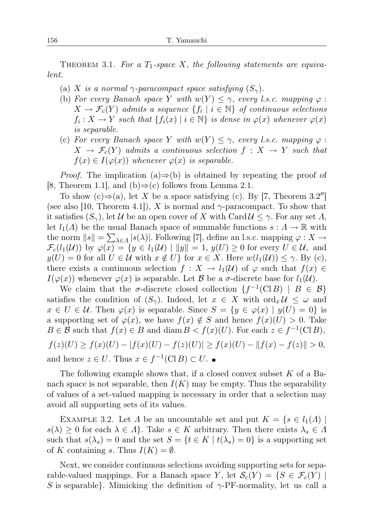THEOREM 3.1. For a  $T_1$ -space X, the following statements are equivalent.

- (a) X is a normal  $\gamma$ -paracompact space satisfying  $(S_{\gamma})$ .
- (b) For every Banach space Y with  $w(Y) \leq \gamma$ , every l.s.c. mapping  $\varphi$ :  $X \to \mathcal{F}_c(Y)$  admits a sequence  $\{f_i \mid i \in \mathbb{N}\}$  of continuous selections  $f_i: X \to Y$  such that  $\{f_i(x) \mid i \in \mathbb{N}\}\$ is dense in  $\varphi(x)$  whenever  $\varphi(x)$ is separable.
- (c) For every Banach space Y with  $w(Y) \leq \gamma$ , every l.s.c. mapping  $\varphi$ :  $X \to \mathcal{F}_c(Y)$  admits a continuous selection  $f: X \to Y$  such that  $f(x) \in I(\varphi(x))$  whenever  $\varphi(x)$  is separable.

*Proof.* The implication (a) $\Rightarrow$ (b) is obtained by repeating the proof of [8, Theorem 1.1], and (b) $\Rightarrow$ (c) follows from Lemma 2.1.

To show  $(c) \Rightarrow (a)$ , let X be a space satisfying (c). By [7, Theorem 3.2''] (see also [10, Theorem 4.1]), X is normal and  $\gamma$ -paracompact. To show that it satisfies  $(S_{\gamma})$ , let U be an open cover of X with Card  $\mathcal{U} \leq \gamma$ . For any set  $\Lambda$ , let  $l_1(\Lambda)$  be the usual Banach space of summable functions  $s : \Lambda \to \mathbb{R}$  with the norm  $||s|| = \sum_{\lambda \in \Lambda} |s(\lambda)|$ . Following [7], define an l.s.c. mapping  $\varphi: X \to$  $\mathcal{F}_c(l_1(\mathcal{U}))$  by  $\varphi(x) = \{y \in l_1(\mathcal{U}) \mid ||y|| = 1, y(U) \geq 0 \text{ for every } U \in \mathcal{U}, \text{ and}$  $y(U) = 0$  for all  $U \in \mathcal{U}$  with  $x \notin U$  for  $x \in X$ . Here  $w(l_1(\mathcal{U})) \leq \gamma$ . By (c), there exists a continuous selection  $f: X \to l_1(\mathcal{U})$  of  $\varphi$  such that  $f(x) \in$  $I(\varphi(x))$  whenever  $\varphi(x)$  is separable. Let B be a  $\sigma$ -discrete base for  $l_1(\mathcal{U})$ .

We claim that the  $\sigma$ -discrete closed collection  $\{f^{-1}(C \cup B) \mid B \in \mathcal{B}\}\$ satisfies the condition of  $(S_{\gamma})$ . Indeed, let  $x \in X$  with  $\text{ord}_x \mathcal{U} \leq \omega$  and  $x \in U \in \mathcal{U}$ . Then  $\varphi(x)$  is separable. Since  $S = \{y \in \varphi(x) \mid y(U) = 0\}$  is a supporting set of  $\varphi(x)$ , we have  $f(x) \notin S$  and hence  $f(x)(U) > 0$ . Take  $B \in \mathcal{B}$  such that  $f(x) \in B$  and diam  $B < f(x)(U)$ . For each  $z \in f^{-1}(\text{Cl }B)$ ,  $f(z)(U) \ge f(x)(U) - |f(x)(U) - f(z)(U)| \ge f(x)(U) - ||f(x) - f(z)|| > 0,$ and hence  $z \in U$ . Thus  $x \in f^{-1}(\text{Cl }B) \subset U$ .

The following example shows that, if a closed convex subset  $K$  of a Banach space is not separable, then  $I(K)$  may be empty. Thus the separability of values of a set-valued mapping is necessary in order that a selection may avoid all supporting sets of its values.

EXAMPLE 3.2. Let  $\Lambda$  be an uncountable set and put  $K = \{s \in l_1(\Lambda) \mid$  $s(\lambda) \geq 0$  for each  $\lambda \in \Lambda$ . Take  $s \in K$  arbitrary. Then there exists  $\lambda_s \in \Lambda$ such that  $s(\lambda_s) = 0$  and the set  $S = \{t \in K \mid t(\lambda_s) = 0\}$  is a supporting set of K containing s. Thus  $I(K) = \emptyset$ .

Next, we consider continuous selections avoiding supporting sets for separable-valued mappings. For a Banach space Y, let  $\mathcal{S}_c(Y) = \{ S \in \mathcal{F}_c(Y) \mid$ S is separable. Mimicking the definition of  $\gamma$ -PF-normality, let us call a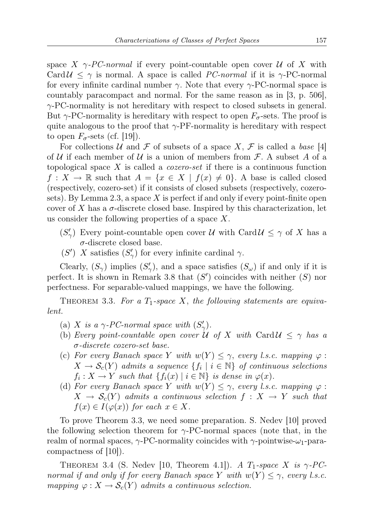space X  $\gamma$ -PC-normal if every point-countable open cover U of X with Card  $U \leq \gamma$  is normal. A space is called PC-normal if it is  $\gamma$ -PC-normal for every infinite cardinal number  $\gamma$ . Note that every  $\gamma$ -PC-normal space is countably paracompact and normal. For the same reason as in [3, p. 506],  $\gamma$ -PC-normality is not hereditary with respect to closed subsets in general. But  $\gamma$ -PC-normality is hereditary with respect to open  $F_{\sigma}$ -sets. The proof is quite analogous to the proof that  $\gamma$ -PF-normality is hereditary with respect to open  $F_{\sigma}$ -sets (cf. [19]).

For collections U and F of subsets of a space X, F is called a base [4] of U if each member of U is a union of members from  $\mathcal F$ . A subset A of a topological space X is called a *cozero-set* if there is a continuous function  $f: X \to \mathbb{R}$  such that  $A = \{x \in X \mid f(x) \neq 0\}$ . A base is called closed (respectively, cozero-set) if it consists of closed subsets (respectively, cozerosets). By Lemma 2.3, a space X is perfect if and only if every point-finite open cover of X has a  $\sigma$ -discrete closed base. Inspired by this characterization, let us consider the following properties of a space  $X$ .

- $(S'_\gamma)$  Every point-countable open cover U with Card  $\mathcal{U} \leq \gamma$  of X has a  $\sigma$ -discrete closed base.
- (S') X satisfies  $(S'_{\gamma})$  for every infinite cardinal  $\gamma$ .

Clearly,  $(S_{\gamma})$  implies  $(S'_{\gamma})$ , and a space satisfies  $(S_{\omega})$  if and only if it is perfect. It is shown in Remark 3.8 that  $(S')$  coincides with neither  $(S)$  nor perfectness. For separable-valued mappings, we have the following.

THEOREM 3.3. For a  $T_1$ -space X, the following statements are equivalent.

- (a) X is a  $\gamma$ -PC-normal space with  $(S'_{\gamma})$ .
- (b) Every point-countable open cover U of X with Card  $\mathcal{U} \leq \gamma$  has a σ-discrete cozero-set base.
- (c) For every Banach space Y with  $w(Y) \leq \gamma$ , every l.s.c. mapping  $\varphi$ :  $X \to \mathcal{S}_c(Y)$  admits a sequence  $\{f_i \mid i \in \mathbb{N}\}$  of continuous selections  $f_i: X \to Y$  such that  $\{f_i(x) \mid i \in \mathbb{N}\}\$ is dense in  $\varphi(x)$ .
- (d) For every Banach space Y with  $w(Y) \leq \gamma$ , every l.s.c. mapping  $\varphi$ :  $X \to \mathcal{S}_c(Y)$  admits a continuous selection  $f: X \to Y$  such that  $f(x) \in I(\varphi(x))$  for each  $x \in X$ .

To prove Theorem 3.3, we need some preparation. S. Nedev [10] proved the following selection theorem for  $\gamma$ -PC-normal spaces (note that, in the realm of normal spaces,  $\gamma$ -PC-normality coincides with  $\gamma$ -pointwise- $\omega_1$ -paracompactness of [10]).

THEOREM 3.4 (S. Nedev [10, Theorem 4.1]). A  $T_1$ -space X is  $\gamma$ -PCnormal if and only if for every Banach space Y with  $w(Y) \leq \gamma$ , every l.s.c. mapping  $\varphi: X \to \mathcal{S}_c(Y)$  admits a continuous selection.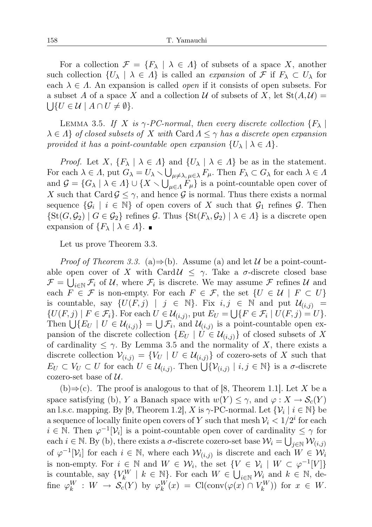For a collection  $\mathcal{F} = \{F_\lambda \mid \lambda \in \Lambda\}$  of subsets of a space X, another such collection  $\{U_\lambda \mid \lambda \in \Lambda\}$  is called an *expansion* of  $\mathcal F$  if  $F_\lambda \subset U_\lambda$  for each  $\lambda \in \Lambda$ . An expansion is called *open* if it consists of open subsets. For a subset A of a space X and a collection U of subsets of X, let  $St(A, U)$  =  $\bigcup \{U \in \mathcal{U} \mid A \cap U \neq \emptyset\}.$ 

LEMMA 3.5. If X is  $\gamma$ -PC-normal, then every discrete collection  $\{F_{\lambda}\}\$  $\lambda \in \Lambda$  of closed subsets of X with Card  $\Lambda \leq \gamma$  has a discrete open expansion provided it has a point-countable open expansion  $\{U_\lambda \mid \lambda \in \Lambda\}.$ 

*Proof.* Let X,  $\{F_{\lambda} \mid \lambda \in \Lambda\}$  and  $\{U_{\lambda} \mid \lambda \in \Lambda\}$  be as in the statement. For each  $\lambda \in \Lambda$ , put  $G_{\lambda} = U_{\lambda} \setminus \bigcup_{\mu \neq \lambda, \mu \in \lambda} F_{\mu}$ . Then  $F_{\lambda} \subset G_{\lambda}$  for each  $\lambda \in \Lambda$ and  $\mathcal{G} = \{G_\lambda \mid \lambda \in \Lambda\} \cup \{X \setminus \bigcup_{\mu \in \Lambda} F_\mu\}$  is a point-countable open cover of X such that Card  $\mathcal{G} \leq \gamma$ , and hence  $\mathcal{G}$  is normal. Thus there exists a normal sequence  $\{\mathcal{G}_i \mid i \in \mathbb{N}\}\$  of open covers of X such that  $\mathcal{G}_1$  refines  $\mathcal{G}$ . Then  $\{St(G, \mathcal{G}_2) | G \in \mathcal{G}_2\}$  refines  $\mathcal{G}$ . Thus  $\{St(F_{\lambda}, \mathcal{G}_2) | \lambda \in \Lambda\}$  is a discrete open expansion of  $\{F_{\lambda} \mid \lambda \in \Lambda\}$ .

Let us prove Theorem 3.3.

*Proof of Theorem 3.3.* (a)⇒(b). Assume (a) and let  $\mathcal{U}$  be a point-countable open cover of X with Card  $\mathcal{U} \leq \gamma$ . Take a  $\sigma$ -discrete closed base  $\mathcal{F} = \bigcup_{i \in \mathbb{N}} \mathcal{F}_i$  of  $\mathcal{U}$ , where  $\mathcal{F}_i$  is discrete. We may assume  $\mathcal{F}$  refines  $\mathcal{U}$  and each  $F \in \mathcal{F}$  is non-empty. For each  $F \in \mathcal{F}$ , the set  $\{U \in \mathcal{U} \mid F \subset U\}$ is countable, say  $\{U(F, j) \mid j \in \mathbb{N}\}\$ . Fix  $i, j \in \mathbb{N}$  and put  $\mathcal{U}_{(i,j)} =$  $\{U(F,j) \mid F \in \mathcal{F}_i\}$ . For each  $U \in \mathcal{U}_{(i,j)}$ , put  $E_U = \bigcup \{F \in \mathcal{F}_i \mid U(F,j) = U\}$ . Then  $\bigcup \{E_U \mid U \in \mathcal{U}_{(i,j)}\} = \bigcup \mathcal{F}_i$ , and  $\mathcal{U}_{(i,j)}$  is a point-countable open expansion of the discrete collection  $\{E_U | U \in \mathcal{U}_{(i,j)}\}$  of closed subsets of X of cardinality  $\leq \gamma$ . By Lemma 3.5 and the normality of X, there exists a discrete collection  $V_{(i,j)} = \{V_U \mid U \in \mathcal{U}_{(i,j)}\}$  of cozero-sets of X such that  $E_U \subset V_U \subset U$  for each  $U \in \mathcal{U}_{(i,j)}$ . Then  $\bigcup \{ \mathcal{V}_{(i,j)} \mid i,j \in \mathbb{N} \}$  is a  $\sigma$ -discrete cozero-set base of  $\mathcal{U}$ .

(b)⇒(c). The proof is analogous to that of [8, Theorem 1.1]. Let X be a space satisfying (b), Y a Banach space with  $w(Y) \leq \gamma$ , and  $\varphi: X \to \mathcal{S}_c(Y)$ an l.s.c. mapping. By [9, Theorem 1.2], X is  $\gamma$ -PC-normal. Let  $\{\mathcal{V}_i \mid i \in \mathbb{N}\}$  be a sequence of locally finite open covers of Y such that mesh  $V_i < 1/2^i$  for each  $i \in \mathbb{N}$ . Then  $\varphi^{-1}[\mathcal{V}_i]$  is a point-countable open cover of cardinality  $\leq \gamma$  for each  $i \in \mathbb{N}$ . By (b), there exists a  $\sigma$ -discrete cozero-set base  $\mathcal{W}_i = \bigcup_{j \in \mathbb{N}} \mathcal{W}_{(i,j)}$ of  $\varphi^{-1}[\mathcal{V}_i]$  for each  $i \in \mathbb{N}$ , where each  $\mathcal{W}_{(i,j)}$  is discrete and each  $W \in \mathcal{W}_i$ is non-empty. For  $i \in \mathbb{N}$  and  $W \in \mathcal{W}_i$ , the set  $\{V \in \mathcal{V}_i \mid W \subset \varphi^{-1}[V]\}$ is countable, say  $\{V_k^W \mid k \in \mathbb{N}\}$ . For each  $W \in \bigcup_{i \in \mathbb{N}} \mathcal{W}_i$  and  $k \in \mathbb{N}$ , define  $\varphi_k^W : W \to \mathcal{S}_c(Y)$  by  $\varphi_k^W(x) = \text{Cl}(\text{conv}(\varphi(x) \cap V_k^W))$  for  $x \in W$ .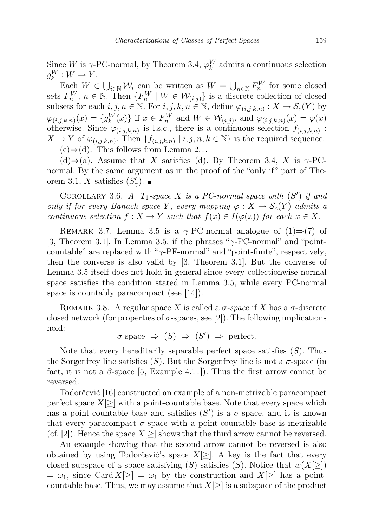Since W is  $\gamma$ -PC-normal, by Theorem 3.4,  $\varphi_k^W$  admits a continuous selection  $g_k^W: W \to Y$ .

Each  $W \in \bigcup_{i\in\mathbb{N}}\mathcal{W}_i$  can be written as  $W = \bigcup_{n\in\mathbb{N}}F_n^W$  for some closed sets  $F_n^W$ ,  $n \in \mathbb{N}$ . Then  $\{F_n^W \mid W \in \mathcal{W}_{(i,j)}\}$  is a discrete collection of closed subsets for each  $i, j, n \in \mathbb{N}$ . For  $i, j, k, n \in \mathbb{N}$ , define  $\varphi_{(i,j,k,n)} : X \to \mathcal{S}_c(Y)$  by  $\varphi_{(i,j,k,n)}(x) = \{g_k^W(x)\}\$ if  $x \in F_n^W$  and  $W \in \mathcal{W}_{(i,j)}$ , and  $\varphi_{(i,j,k,n)}(x) = \varphi(x)$ otherwise. Since  $\varphi_{(i,j,k,n)}$  is l.s.c., there is a continuous selection  $f_{(i,j,k,n)}$ :  $X \to Y$  of  $\varphi_{(i,j,k,n)}$ . Then  $\{f_{(i,j,k,n)} \mid i,j,n,k \in \mathbb{N}\}\$ is the required sequence.  $(c) \Rightarrow (d)$ . This follows from Lemma 2.1.

 $(d) \Rightarrow$  (a). Assume that X satisfies (d). By Theorem 3.4, X is  $\gamma$ -PCnormal. By the same argument as in the proof of the "only if" part of Theorem 3.1, X satisfies  $(S'_{\gamma})$ .

COROLLARY 3.6. A  $T_1$ -space X is a PC-normal space with  $(S')$  if and only if for every Banach space Y, every mapping  $\varphi: X \to \mathcal{S}_c(Y)$  admits a continuous selection  $f: X \to Y$  such that  $f(x) \in I(\varphi(x))$  for each  $x \in X$ .

REMARK 3.7. Lemma 3.5 is a  $\gamma$ -PC-normal analogue of (1)⇒(7) of [3, Theorem 3.1]. In Lemma 3.5, if the phrases " $\gamma$ -PC-normal" and "pointcountable" are replaced with " $\gamma$ -PF-normal" and "point-finite", respectively, then the converse is also valid by [3, Theorem 3.1]. But the converse of Lemma 3.5 itself does not hold in general since every collectionwise normal space satisfies the condition stated in Lemma 3.5, while every PC-normal space is countably paracompact (see [14]).

REMARK 3.8. A regular space X is called a  $\sigma$ -space if X has a  $\sigma$ -discrete closed network (for properties of  $\sigma$ -spaces, see [2]). The following implications hold:

$$
\sigma
$$
-space  $\Rightarrow$  (S)  $\Rightarrow$  (S')  $\Rightarrow$  perfect.

Note that every hereditarily separable perfect space satisfies  $(S)$ . Thus the Sorgenfrey line satisfies  $(S)$ . But the Sorgenfrey line is not a  $\sigma$ -space (in fact, it is not a  $\beta$ -space [5, Example 4.11]). Thus the first arrow cannot be reversed.

Todorčević [16] constructed an example of a non-metrizable paracompact perfect space  $X[\geq]$  with a point-countable base. Note that every space which has a point-countable base and satisfies  $(S')$  is a  $\sigma$ -space, and it is known that every paracompact  $\sigma$ -space with a point-countable base is metrizable (cf. [2]). Hence the space  $X[\geq]$  shows that the third arrow cannot be reversed.

An example showing that the second arrow cannot be reversed is also obtained by using Todorčević's space  $X[\geq]$ . A key is the fact that every closed subspace of a space satisfying  $(S)$  satisfies  $(S)$ . Notice that  $w(X[\geq])$  $= \omega_1$ , since Card  $X[\geq] = \omega_1$  by the construction and  $X[\geq]$  has a pointcountable base. Thus, we may assume that  $X[\geq]$  is a subspace of the product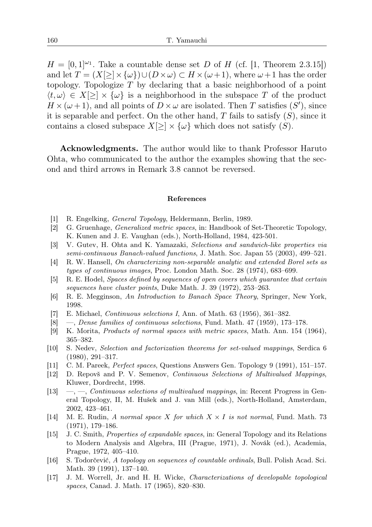$H = [0,1]^{2}$ . Take a countable dense set D of H (cf. [1, Theorem 2.3.15]) and let  $T = (X[\geq] \times {\omega}) \cup (D \times \omega) \subset H \times (\omega+1)$ , where  $\omega+1$  has the order topology. Topologize T by declaring that a basic neighborhood of a point  $\langle t, \omega \rangle \in X[\geq] \times {\omega}$  is a neighborhood in the subspace T of the product  $H \times (\omega + 1)$ , and all points of  $D \times \omega$  are isolated. Then T satisfies  $(S')$ , since it is separable and perfect. On the other hand, T fails to satisfy  $(S)$ , since it contains a closed subspace  $X[\geq] \times {\omega}$  which does not satisfy  $(S)$ .

Acknowledgments. The author would like to thank Professor Haruto Ohta, who communicated to the author the examples showing that the second and third arrows in Remark 3.8 cannot be reversed.

## References

- [1] R. Engelking, General Topology, Heldermann, Berlin, 1989.
- [2] G. Gruenhage, Generalized metric spaces, in: Handbook of Set-Theoretic Topology, K. Kunen and J. E. Vaughan (eds.), North-Holland, 1984, 423-501.
- [3] V. Gutev, H. Ohta and K. Yamazaki, Selections and sandwich-like properties via semi-continuous Banach-valued functions, J. Math. Soc. Japan 55 (2003), 499–521.
- [4] R. W. Hansell, On characterizing non-separable analytic and extended Borel sets as types of continuous images, Proc. London Math. Soc. 28 (1974), 683–699.
- [5] R. E. Hodel, Spaces defined by sequences of open covers which guarantee that certain sequences have cluster points, Duke Math. J. 39 (1972), 253–263.
- [6] R. E. Megginson, An Introduction to Banach Space Theory, Springer, New York, 1998.
- [7] E. Michael, Continuous selections I, Ann. of Math. 63 (1956), 361–382.
- [8] —, Dense families of continuous selections, Fund. Math. 47 (1959), 173–178.
- [9] K. Morita, Products of normal spaces with metric spaces, Math. Ann. 154 (1964), 365–382.
- [10] S. Nedev, Selection and factorization theorems for set-valued mappings, Serdica 6 (1980), 291–317.
- [11] C. M. Pareek, Perfect spaces, Questions Answers Gen. Topology 9 (1991), 151–157.
- [12] D. Repovš and P. V. Semenov, Continuous Selections of Multivalued Mappings, Kluwer, Dordrecht, 1998.
- $[13] \quad -$ ,  $\quad$ , Continuous selections of multivalued mappings, in: Recent Progress in General Topology, II, M. Hušek and J. van Mill (eds.), North-Holland, Amsterdam, 2002, 423–461.
- [14] M. E. Rudin, A normal space X for which  $X \times I$  is not normal, Fund. Math. 73 (1971), 179–186.
- [15] J. C. Smith, Properties of expandable spaces, in: General Topology and its Relations to Modern Analysis and Algebra, III (Prague, 1971), J. Novák (ed.), Academia, Prague, 1972, 405–410.
- [16] S. Todorčević, A topology on sequences of countable ordinals, Bull. Polish Acad. Sci. Math. 39 (1991), 137–140.
- [17] J. M. Worrell, Jr. and H. H. Wicke, Characterizations of developable topological spaces, Canad. J. Math. 17 (1965), 820–830.